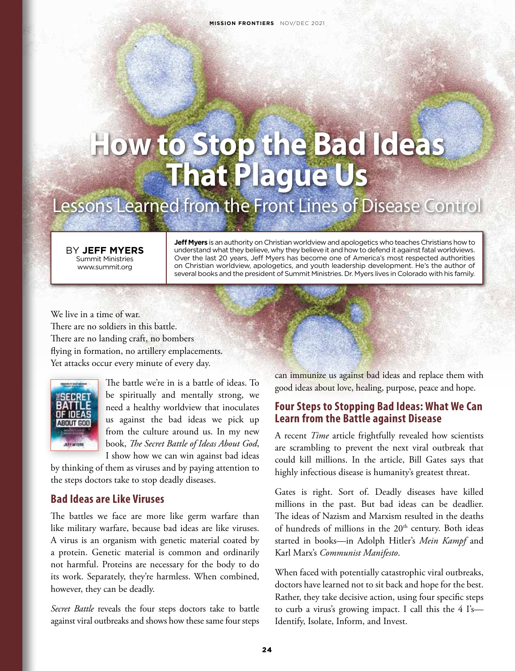# **How to Stop the Bad Ideas That Plague Us**

# Lessons Learned from the Front Lines of Disease Control

BY **JEFF MYERS** Summit Ministries www.summit.org

**Jeff Myers** is an authority on Christian worldview and apologetics who teaches Christians how to understand what they believe, why they believe it and how to defend it against fatal worldviews. Over the last 20 years, Jeff Myers has become one of America's most respected authorities on Christian worldview, apologetics, and youth leadership development. He's the author of several books and the president of Summit Ministries. Dr. Myers lives in Colorado with his family.

We live in a time of war. There are no soldiers in this battle. There are no landing craft, no bombers flying in formation, no artillery emplacements. Yet attacks occur every minute of every day.



The battle we're in is a battle of ideas. To be spiritually and mentally strong, we need a healthy worldview that inoculates us against the bad ideas we pick up from the culture around us. In my new book, *The Secret Battle of Ideas About God*, I show how we can win against bad ideas

by thinking of them as viruses and by paying attention to the steps doctors take to stop deadly diseases.

#### **Bad Ideas are Like Viruses**

The battles we face are more like germ warfare than like military warfare, because bad ideas are like viruses. A virus is an organism with genetic material coated by a protein. Genetic material is common and ordinarily not harmful. Proteins are necessary for the body to do its work. Separately, they're harmless. When combined, however, they can be deadly.

*Secret Battle* reveals the four steps doctors take to battle against viral outbreaks and shows how these same four steps can immunize us against bad ideas and replace them with good ideas about love, healing, purpose, peace and hope.

#### **Four Steps to Stopping Bad Ideas: What We Can Learn from the Battle against Disease**

A recent *Time* article frightfully revealed how scientists are scrambling to prevent the next viral outbreak that could kill millions. In the article, Bill Gates says that highly infectious disease is humanity's greatest threat.

Gates is right. Sort of. Deadly diseases have killed millions in the past. But bad ideas can be deadlier. The ideas of Nazism and Marxism resulted in the deaths of hundreds of millions in the 20<sup>th</sup> century. Both ideas started in books—in Adolph Hitler's *Mein Kampf* and Karl Marx's *Communist Manifesto*.

When faced with potentially catastrophic viral outbreaks, doctors have learned not to sit back and hope for the best. Rather, they take decisive action, using four specific steps to curb a virus's growing impact. I call this the 4 I's— Identify, Isolate, Inform, and Invest.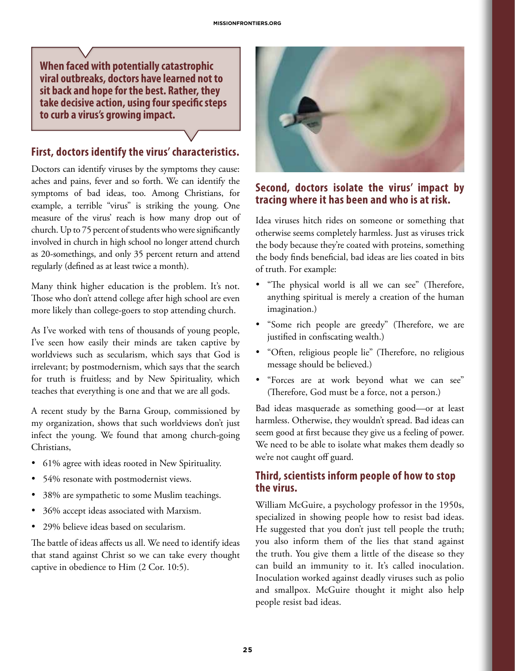**When faced with potentially catastrophic viral outbreaks, doctors have learned not to sit back and hope for the best. Rather, they take decisive action, using four specific steps to curb a virus's growing impact.**

#### **First, doctors identify the virus' characteristics.**

Doctors can identify viruses by the symptoms they cause: aches and pains, fever and so forth. We can identify the symptoms of bad ideas, too. Among Christians, for example, a terrible "virus" is striking the young. One measure of the virus' reach is how many drop out of church. Up to 75 percent of students who were significantly involved in church in high school no longer attend church as 20-somethings, and only 35 percent return and attend regularly (defined as at least twice a month).

Many think higher education is the problem. It's not. Those who don't attend college after high school are even more likely than college-goers to stop attending church.

As I've worked with tens of thousands of young people, I've seen how easily their minds are taken captive by worldviews such as secularism, which says that God is irrelevant; by postmodernism, which says that the search for truth is fruitless; and by New Spirituality, which teaches that everything is one and that we are all gods.

A recent study by the Barna Group, commissioned by my organization, shows that such worldviews don't just infect the young. We found that among church-going Christians,

- 61% agree with ideas rooted in New Spirituality.
- 54% resonate with postmodernist views.
- 38% are sympathetic to some Muslim teachings.
- 36% accept ideas associated with Marxism.
- 29% believe ideas based on secularism.

The battle of ideas affects us all. We need to identify ideas that stand against Christ so we can take every thought captive in obedience to Him (2 Cor. 10:5).



### **Second, doctors isolate the virus' impact by tracing where it has been and who is at risk.**

Idea viruses hitch rides on someone or something that otherwise seems completely harmless. Just as viruses trick the body because they're coated with proteins, something the body finds beneficial, bad ideas are lies coated in bits of truth. For example:

- "The physical world is all we can see" (Therefore, anything spiritual is merely a creation of the human imagination.)
- "Some rich people are greedy" (Therefore, we are justified in confiscating wealth.)
- "Often, religious people lie" (Therefore, no religious message should be believed.)
- • "Forces are at work beyond what we can see" (Therefore, God must be a force, not a person.)

Bad ideas masquerade as something good—or at least harmless. Otherwise, they wouldn't spread. Bad ideas can seem good at first because they give us a feeling of power. We need to be able to isolate what makes them deadly so we're not caught off guard.

## **Third, scientists inform people of how to stop the virus.**

William McGuire, a psychology professor in the 1950s, specialized in showing people how to resist bad ideas. He suggested that you don't just tell people the truth; you also inform them of the lies that stand against the truth. You give them a little of the disease so they can build an immunity to it. It's called inoculation. Inoculation worked against deadly viruses such as polio and smallpox. McGuire thought it might also help people resist bad ideas.